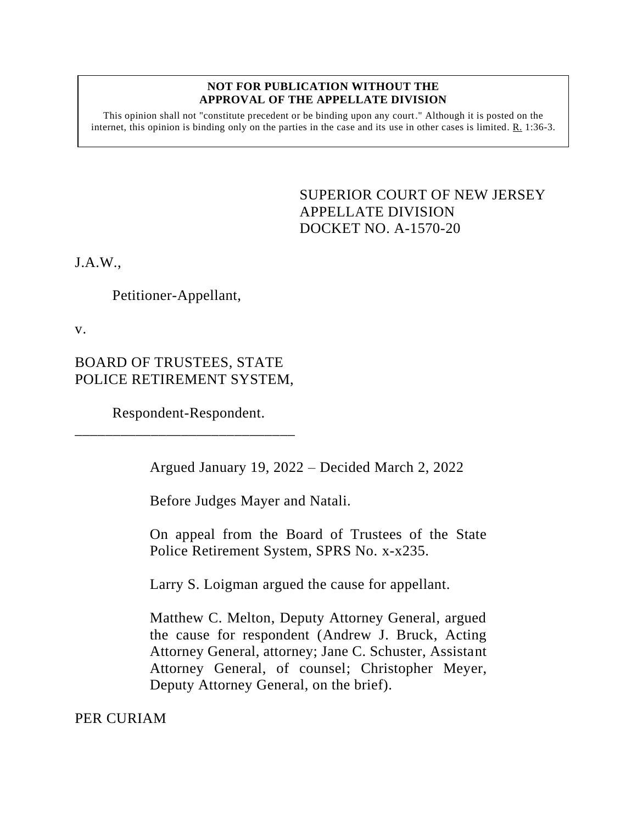#### **NOT FOR PUBLICATION WITHOUT THE APPROVAL OF THE APPELLATE DIVISION**

This opinion shall not "constitute precedent or be binding upon any court." Although it is posted on the internet, this opinion is binding only on the parties in the case and its use in other cases is limited.  $R_1$  1:36-3.

> <span id="page-0-0"></span>SUPERIOR COURT OF NEW JERSEY APPELLATE DIVISION DOCKET NO. A-1570-20

J.A.W.,

Petitioner-Appellant,

v.

BOARD OF TRUSTEES, STATE POLICE RETIREMENT SYSTEM,

Respondent-Respondent. \_\_\_\_\_\_\_\_\_\_\_\_\_\_\_\_\_\_\_\_\_\_\_\_\_\_\_\_\_

Argued January 19, 2022 – Decided March 2, 2022

Before Judges Mayer and Natali.

On appeal from the Board of Trustees of the State Police Retirement System, SPRS No. x-x235.

Larry S. Loigman argued the cause for appellant.

Matthew C. Melton, Deputy Attorney General, argued the cause for respondent (Andrew J. Bruck, Acting Attorney General, attorney; Jane C. Schuster, Assistant Attorney General, of counsel; Christopher Meyer, Deputy Attorney General, on the brief).

PER CURIAM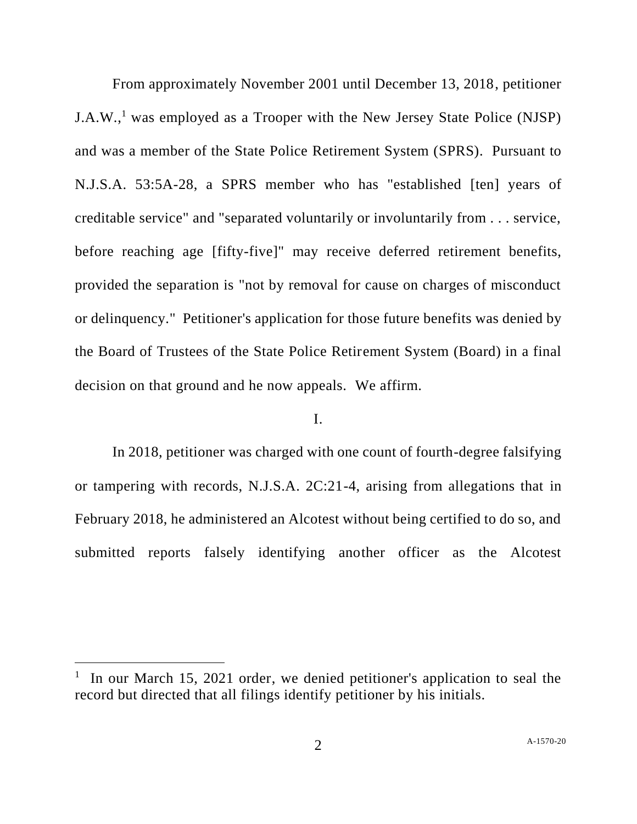From approximately November 2001 until December 13, 2018, petitioner J.A.W., <sup>1</sup> was employed as a Trooper with the New Jersey State Police (NJSP) and was a member of the State Police Retirement System (SPRS). Pursuant to N.J.S.A. 53:5A-28, a SPRS member who has "established [ten] years of creditable service" and "separated voluntarily or involuntarily from . . . service, before reaching age [fifty-five]" may receive deferred retirement benefits, provided the separation is "not by removal for cause on charges of misconduct or delinquency." Petitioner's application for those future benefits was denied by the Board of Trustees of the State Police Retirement System (Board) in a final decision on that ground and he now appeals. We affirm.

# I.

In 2018, petitioner was charged with one count of fourth-degree falsifying or tampering with records, N.J.S.A. 2C:21-4, arising from allegations that in February 2018, he administered an Alcotest without being certified to do so, and submitted reports falsely identifying another officer as the Alcotest

<sup>&</sup>lt;sup>1</sup> In our March 15, 2021 order, we denied petitioner's application to seal the record but directed that all filings identify petitioner by his initials.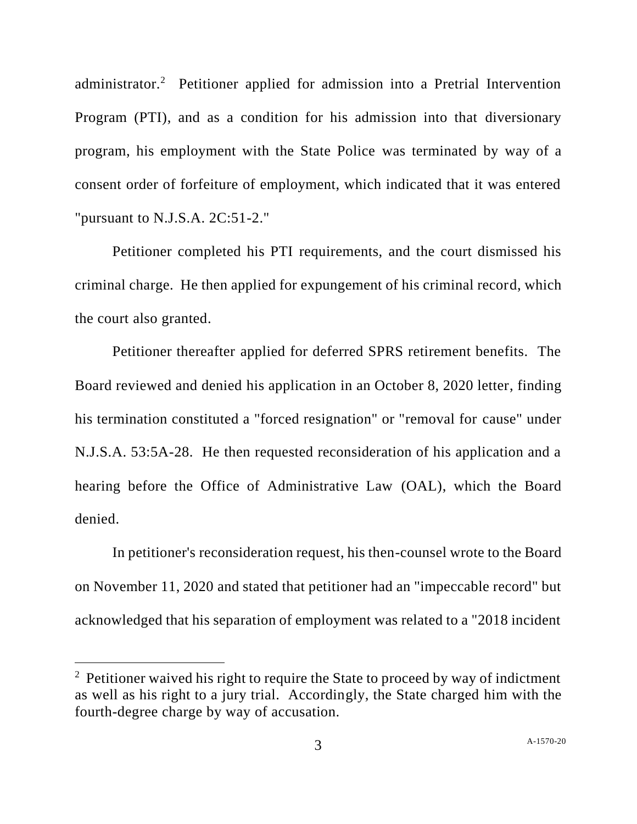administrator.<sup>2</sup> Petitioner applied for admission into a Pretrial Intervention Program (PTI), and as a condition for his admission into that diversionary program, his employment with the State Police was terminated by way of a consent order of forfeiture of employment, which indicated that it was entered "pursuant to N.J.S.A. 2C:51-2."

Petitioner completed his PTI requirements, and the court dismissed his criminal charge. He then applied for expungement of his criminal record, which the court also granted.

Petitioner thereafter applied for deferred SPRS retirement benefits. The Board reviewed and denied his application in an October 8, 2020 letter, finding his termination constituted a "forced resignation" or "removal for cause" under N.J.S.A. 53:5A-28. He then requested reconsideration of his application and a hearing before the Office of Administrative Law (OAL), which the Board denied.

In petitioner's reconsideration request, his then-counsel wrote to the Board on November 11, 2020 and stated that petitioner had an "impeccable record" but acknowledged that his separation of employment was related to a "2018 incident

 $2$  Petitioner waived his right to require the State to proceed by way of indictment as well as his right to a jury trial. Accordingly, the State charged him with the fourth-degree charge by way of accusation.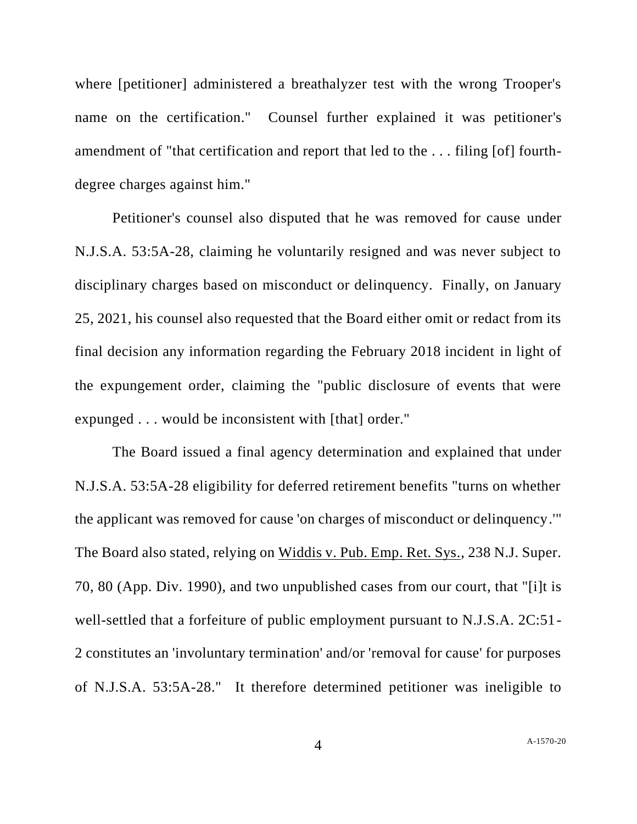where [petitioner] administered a breathalyzer test with the wrong Trooper's name on the certification." Counsel further explained it was petitioner's amendment of "that certification and report that led to the . . . filing [of] fourthdegree charges against him."

Petitioner's counsel also disputed that he was removed for cause under N.J.S.A. 53:5A-28, claiming he voluntarily resigned and was never subject to disciplinary charges based on misconduct or delinquency. Finally, on January 25, 2021, his counsel also requested that the Board either omit or redact from its final decision any information regarding the February 2018 incident in light of the expungement order, claiming the "public disclosure of events that were expunged . . . would be inconsistent with [that] order."

The Board issued a final agency determination and explained that under N.J.S.A. 53:5A-28 eligibility for deferred retirement benefits "turns on whether the applicant was removed for cause 'on charges of misconduct or delinquency.'" The Board also stated, relying on Widdis v. Pub. Emp. Ret. Sys., 238 N.J. Super. 70, 80 (App. Div. 1990), and two unpublished cases from our court, that "[i]t is well-settled that a forfeiture of public employment pursuant to N.J.S.A. 2C:51- 2 constitutes an 'involuntary termination' and/or 'removal for cause' for purposes of N.J.S.A. 53:5A-28." It therefore determined petitioner was ineligible to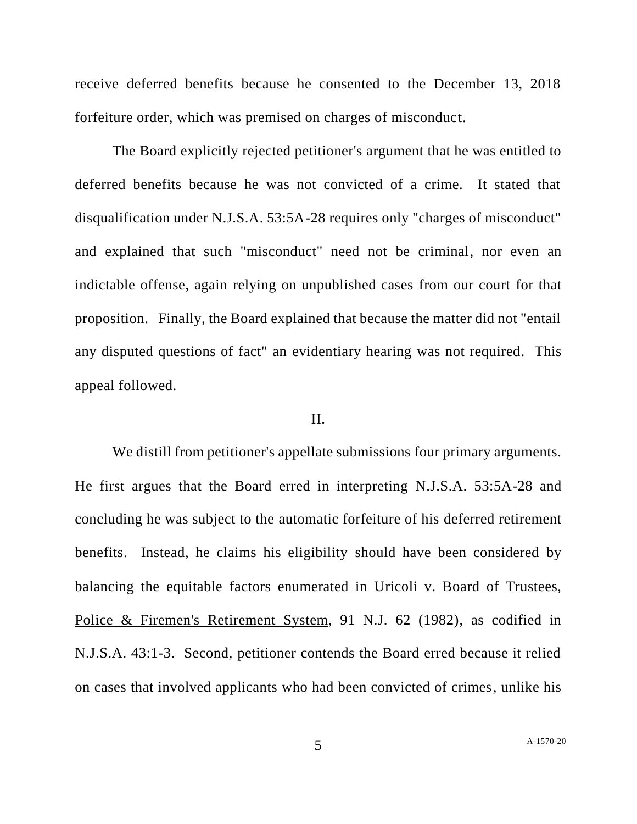receive deferred benefits because he consented to the December 13, 2018 forfeiture order, which was premised on charges of misconduct.

The Board explicitly rejected petitioner's argument that he was entitled to deferred benefits because he was not convicted of a crime. It stated that disqualification under N.J.S.A. 53:5A-28 requires only "charges of misconduct" and explained that such "misconduct" need not be criminal, nor even an indictable offense, again relying on unpublished cases from our court for that proposition. Finally, the Board explained that because the matter did not "entail any disputed questions of fact" an evidentiary hearing was not required. This appeal followed.

### II.

We distill from petitioner's appellate submissions four primary arguments. He first argues that the Board erred in interpreting N.J.S.A. 53:5A-28 and concluding he was subject to the automatic forfeiture of his deferred retirement benefits. Instead, he claims his eligibility should have been considered by balancing the equitable factors enumerated in Uricoli v. Board of Trustees, Police & Firemen's Retirement System, 91 N.J. 62 (1982), as codified in N.J.S.A. 43:1-3. Second, petitioner contends the Board erred because it relied on cases that involved applicants who had been convicted of crimes, unlike his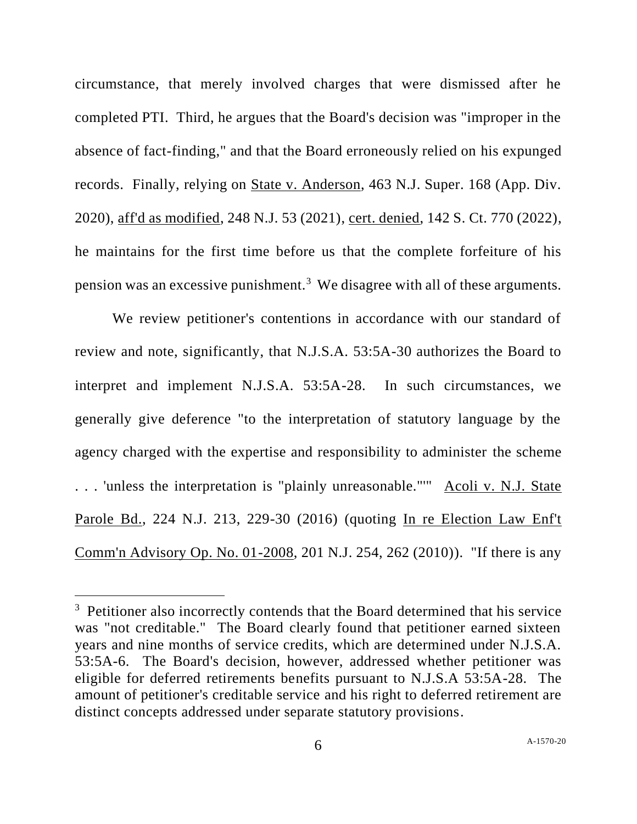circumstance, that merely involved charges that were dismissed after he completed PTI. Third, he argues that the Board's decision was "improper in the absence of fact-finding," and that the Board erroneously relied on his expunged records. Finally, relying on State v. Anderson, 463 N.J. Super. 168 (App. Div. 2020), aff'd as modified, 248 N.J. 53 (2021), cert. denied, 142 S. Ct. 770 (2022), he maintains for the first time before us that the complete forfeiture of his pension was an excessive punishment.<sup>3</sup> We disagree with all of these arguments.

We review petitioner's contentions in accordance with our standard of review and note, significantly, that N.J.S.A. 53:5A-30 authorizes the Board to interpret and implement N.J.S.A. 53:5A-28. In such circumstances, we generally give deference "to the interpretation of statutory language by the agency charged with the expertise and responsibility to administer the scheme . . . 'unless the interpretation is "plainly unreasonable."'" Acoli v. N.J. State Parole Bd., 224 N.J. 213, 229-30 (2016) (quoting In re Election Law Enf't Comm'n Advisory Op. No. 01-2008, 201 N.J. 254, 262 (2010)). "If there is any

<sup>&</sup>lt;sup>3</sup> Petitioner also incorrectly contends that the Board determined that his service was "not creditable." The Board clearly found that petitioner earned sixteen years and nine months of service credits, which are determined under N.J.S.A. 53:5A-6. The Board's decision, however, addressed whether petitioner was eligible for deferred retirements benefits pursuant to N.J.S.A 53:5A-28. The amount of petitioner's creditable service and his right to deferred retirement are distinct concepts addressed under separate statutory provisions.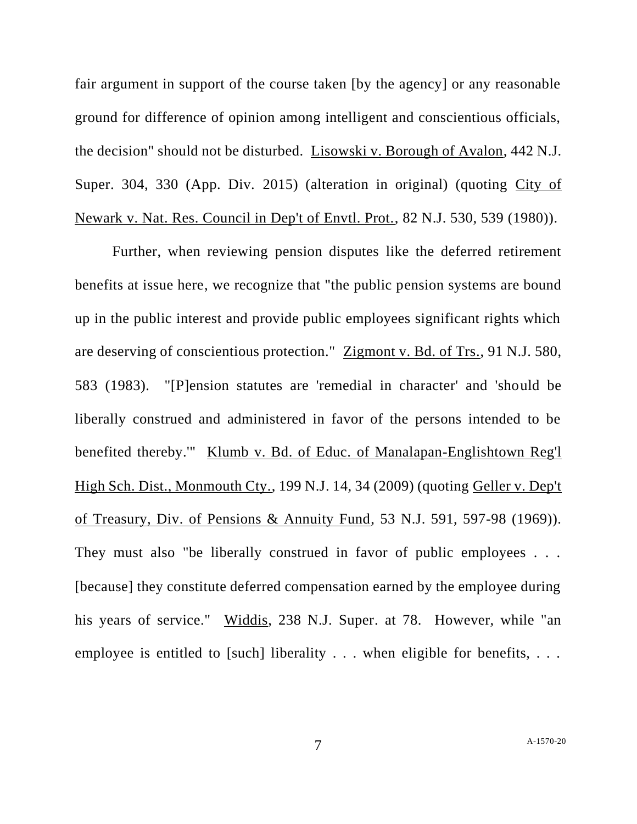fair argument in support of the course taken [by the agency] or any reasonable ground for difference of opinion among intelligent and conscientious officials, the decision" should not be disturbed. Lisowski v. Borough of Avalon, 442 N.J. Super. 304, 330 (App. Div. 2015) (alteration in original) (quoting City of Newark v. Nat. Res. Council in Dep't of Envtl. Prot., 82 N.J. 530, 539 (1980)).

Further, when reviewing pension disputes like the deferred retirement benefits at issue here, we recognize that "the public pension systems are bound up in the public interest and provide public employees significant rights which are deserving of conscientious protection." Zigmont v. Bd. of Trs., 91 N.J. 580, 583 (1983). "[P]ension statutes are 'remedial in character' and 'should be liberally construed and administered in favor of the persons intended to be benefited thereby.'" Klumb v. Bd. of Educ. of Manalapan-Englishtown Reg'l High Sch. Dist., Monmouth Cty., 199 N.J. 14, 34 (2009) (quoting Geller v. Dep't of Treasury, Div. of Pensions & Annuity Fund, 53 N.J. 591, 597-98 (1969)). They must also "be liberally construed in favor of public employees . . . [because] they constitute deferred compensation earned by the employee during his years of service." Widdis, 238 N.J. Super. at 78. However, while "an employee is entitled to [such] liberality . . . when eligible for benefits, . . .

7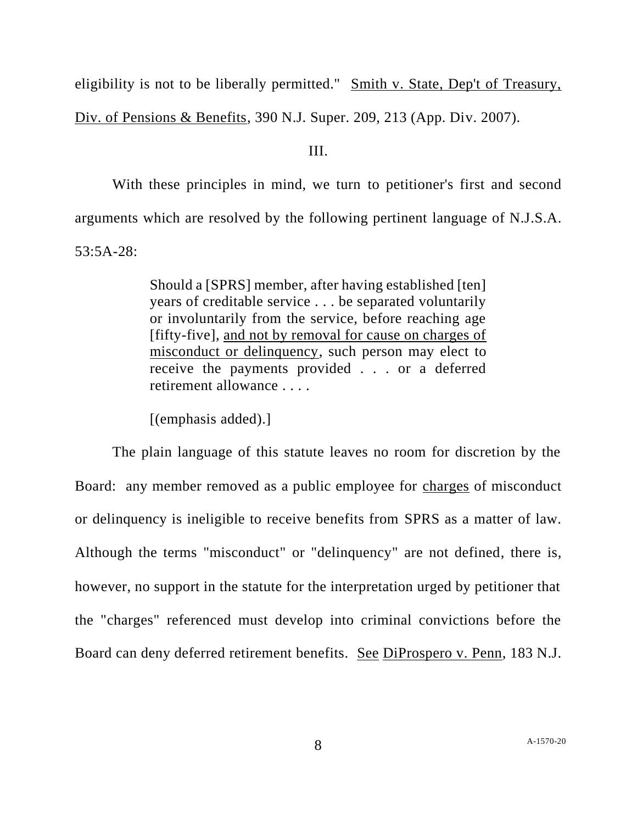eligibility is not to be liberally permitted." Smith v. State, Dep't of Treasury,

Div. of Pensions & Benefits, 390 N.J. Super. 209, 213 (App. Div. 2007).

### III.

With these principles in mind, we turn to petitioner's first and second arguments which are resolved by the following pertinent language of N.J.S.A. 53:5A-28:

> Should a [SPRS] member, after having established [ten] years of creditable service . . . be separated voluntarily or involuntarily from the service, before reaching age [fifty-five], and not by removal for cause on charges of misconduct or delinquency, such person may elect to receive the payments provided . . . or a deferred retirement allowance . . . .

[(emphasis added).]

The plain language of this statute leaves no room for discretion by the Board: any member removed as a public employee for charges of misconduct or delinquency is ineligible to receive benefits from SPRS as a matter of law. Although the terms "misconduct" or "delinquency" are not defined, there is, however, no support in the statute for the interpretation urged by petitioner that the "charges" referenced must develop into criminal convictions before the Board can deny deferred retirement benefits. See DiProspero v. Penn, 183 N.J.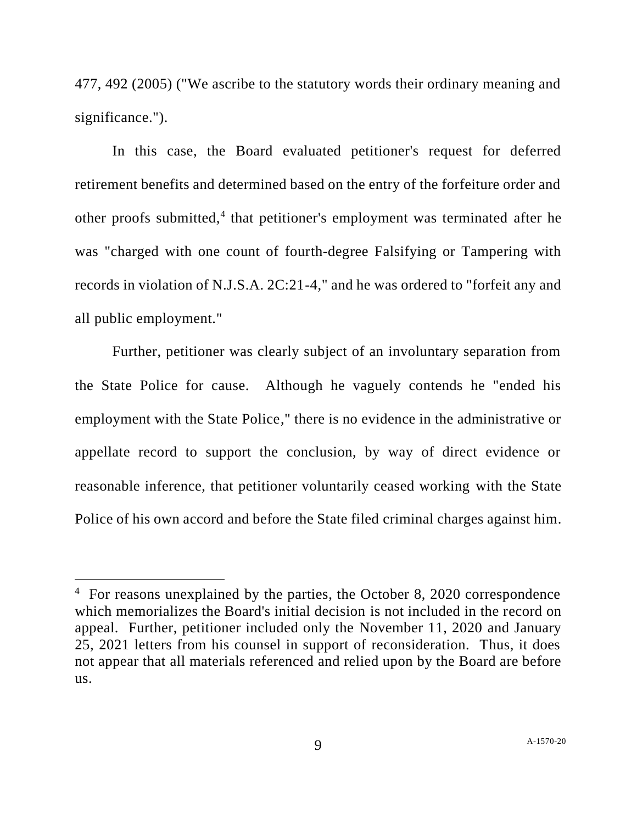477, 492 (2005) ("We ascribe to the statutory words their ordinary meaning and significance.").

In this case, the Board evaluated petitioner's request for deferred retirement benefits and determined based on the entry of the forfeiture order and other proofs submitted,<sup>4</sup> that petitioner's employment was terminated after he was "charged with one count of fourth-degree Falsifying or Tampering with records in violation of N.J.S.A. 2C:21-4," and he was ordered to "forfeit any and all public employment."

Further, petitioner was clearly subject of an involuntary separation from the State Police for cause. Although he vaguely contends he "ended his employment with the State Police," there is no evidence in the administrative or appellate record to support the conclusion, by way of direct evidence or reasonable inference, that petitioner voluntarily ceased working with the State Police of his own accord and before the State filed criminal charges against him.

<sup>&</sup>lt;sup>4</sup> For reasons unexplained by the parties, the October 8, 2020 correspondence which memorializes the Board's initial decision is not included in the record on appeal. Further, petitioner included only the November 11, 2020 and January 25, 2021 letters from his counsel in support of reconsideration. Thus, it does not appear that all materials referenced and relied upon by the Board are before us.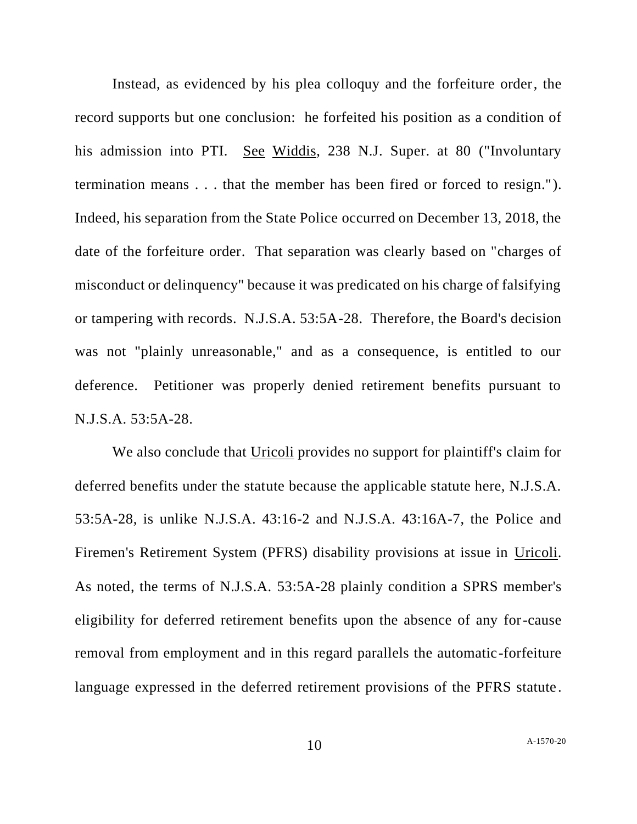Instead, as evidenced by his plea colloquy and the forfeiture order, the record supports but one conclusion: he forfeited his position as a condition of his admission into PTI. See Widdis, 238 N.J. Super. at 80 ("Involuntary termination means . . . that the member has been fired or forced to resign."). Indeed, his separation from the State Police occurred on December 13, 2018, the date of the forfeiture order. That separation was clearly based on "charges of misconduct or delinquency" because it was predicated on his charge of falsifying or tampering with records. N.J.S.A. 53:5A-28. Therefore, the Board's decision was not "plainly unreasonable," and as a consequence, is entitled to our deference. Petitioner was properly denied retirement benefits pursuant to N.J.S.A. 53:5A-28.

We also conclude that Uricoli provides no support for plaintiff's claim for deferred benefits under the statute because the applicable statute here, N.J.S.A. 53:5A-28, is unlike N.J.S.A. 43:16-2 and N.J.S.A. 43:16A-7, the Police and Firemen's Retirement System (PFRS) disability provisions at issue in Uricoli. As noted, the terms of N.J.S.A. 53:5A-28 plainly condition a SPRS member's eligibility for deferred retirement benefits upon the absence of any for-cause removal from employment and in this regard parallels the automatic-forfeiture language expressed in the deferred retirement provisions of the PFRS statute .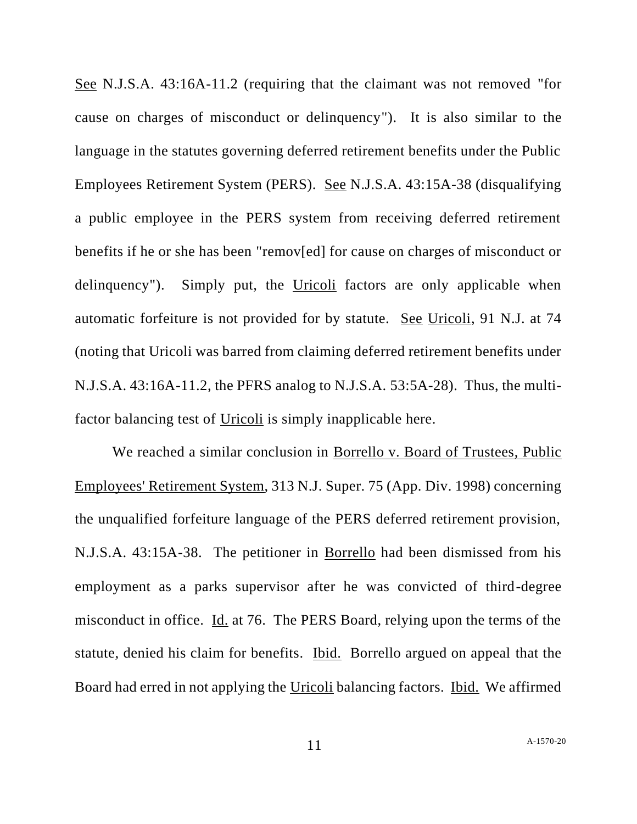See N.J.S.A. 43:16A-11.2 (requiring that the claimant was not removed "for cause on charges of misconduct or delinquency"). It is also similar to the language in the statutes governing deferred retirement benefits under the Public Employees Retirement System (PERS). See N.J.S.A. 43:15A-38 (disqualifying a public employee in the PERS system from receiving deferred retirement benefits if he or she has been "remov[ed] for cause on charges of misconduct or delinquency"). Simply put, the Uricoli factors are only applicable when automatic forfeiture is not provided for by statute. See Uricoli, 91 N.J. at 74 (noting that Uricoli was barred from claiming deferred retirement benefits under N.J.S.A. 43:16A-11.2, the PFRS analog to N.J.S.A. 53:5A-28). Thus, the multifactor balancing test of Uricoli is simply inapplicable here.

We reached a similar conclusion in Borrello v. Board of Trustees, Public Employees' Retirement System, 313 N.J. Super. 75 (App. Div. 1998) concerning the unqualified forfeiture language of the PERS deferred retirement provision, N.J.S.A. 43:15A-38. The petitioner in Borrello had been dismissed from his employment as a parks supervisor after he was convicted of third-degree misconduct in office. Id. at 76. The PERS Board, relying upon the terms of the statute, denied his claim for benefits. Ibid. Borrello argued on appeal that the Board had erred in not applying the Uricoli balancing factors. Ibid. We affirmed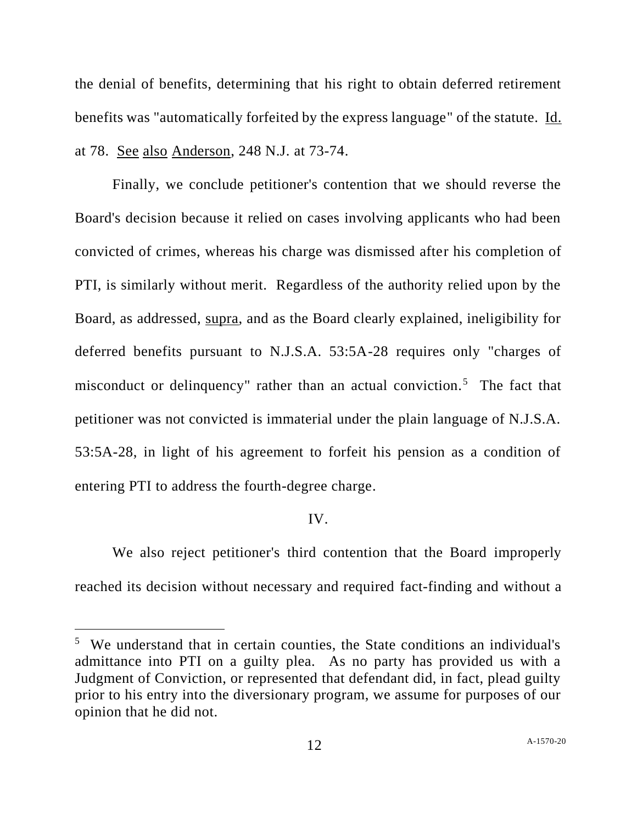the denial of benefits, determining that his right to obtain deferred retirement benefits was "automatically forfeited by the express language" of the statute. Id. at 78. See also Anderson, 248 N.J. at 73-74.

Finally, we conclude petitioner's contention that we should reverse the Board's decision because it relied on cases involving applicants who had been convicted of crimes, whereas his charge was dismissed after his completion of PTI, is similarly without merit. Regardless of the authority relied upon by the Board, as addressed, supra, and as the Board clearly explained, ineligibility for deferred benefits pursuant to N.J.S.A. 53:5A-28 requires only "charges of misconduct or delinquency" rather than an actual conviction.<sup>5</sup> The fact that petitioner was not convicted is immaterial under the plain language of N.J.S.A. 53:5A-28, in light of his agreement to forfeit his pension as a condition of entering PTI to address the fourth-degree charge.

## IV.

We also reject petitioner's third contention that the Board improperly reached its decision without necessary and required fact-finding and without a

<sup>&</sup>lt;sup>5</sup> We understand that in certain counties, the State conditions an individual's admittance into PTI on a guilty plea. As no party has provided us with a Judgment of Conviction, or represented that defendant did, in fact, plead guilty prior to his entry into the diversionary program, we assume for purposes of our opinion that he did not.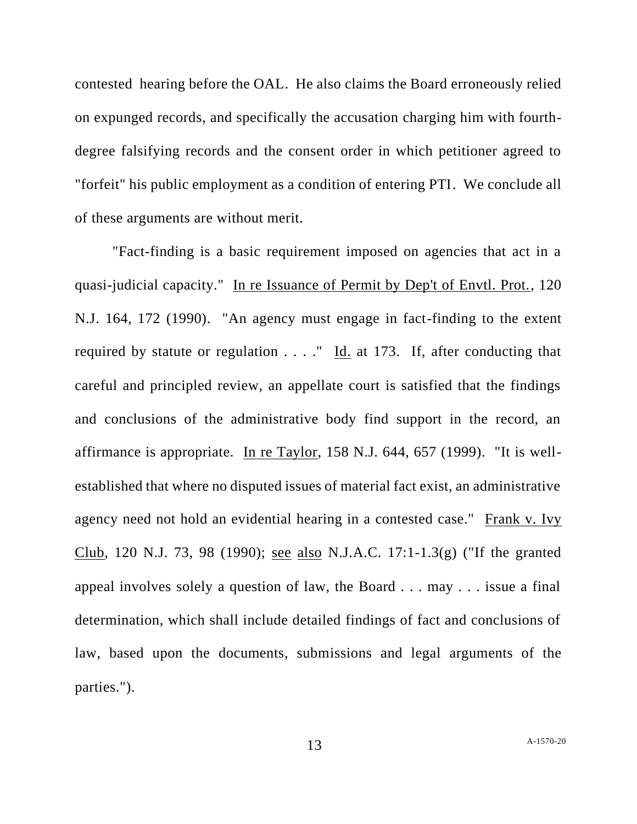contested hearing before the OAL. He also claims the Board erroneously relied on expunged records, and specifically the accusation charging him with fourthdegree falsifying records and the consent order in which petitioner agreed to "forfeit" his public employment as a condition of entering PTI. We conclude all of these arguments are without merit.

"Fact-finding is a basic requirement imposed on agencies that act in a quasi-judicial capacity." In re Issuance of Permit by Dep't of Envtl. Prot., 120 N.J. 164, 172 (1990). "An agency must engage in fact-finding to the extent required by statute or regulation . . . ." Id. at 173. If, after conducting that careful and principled review, an appellate court is satisfied that the findings and conclusions of the administrative body find support in the record, an affirmance is appropriate. In re Taylor, 158 N.J. 644, 657 (1999). "It is wellestablished that where no disputed issues of material fact exist, an administrative agency need not hold an evidential hearing in a contested case." Frank v. Ivy Club, 120 N.J. 73, 98 (1990); see also N.J.A.C. 17:1-1.3(g) ("If the granted appeal involves solely a question of law, the Board . . . may . . . issue a final determination, which shall include detailed findings of fact and conclusions of law, based upon the documents, submissions and legal arguments of the parties.").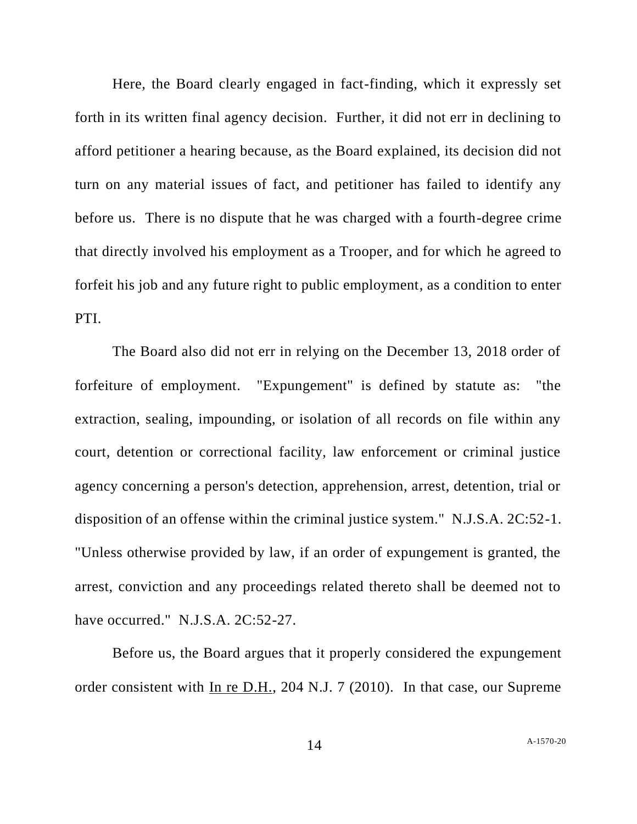Here, the Board clearly engaged in fact-finding, which it expressly set forth in its written final agency decision. Further, it did not err in declining to afford petitioner a hearing because, as the Board explained, its decision did not turn on any material issues of fact, and petitioner has failed to identify any before us. There is no dispute that he was charged with a fourth-degree crime that directly involved his employment as a Trooper, and for which he agreed to forfeit his job and any future right to public employment, as a condition to enter PTI.

The Board also did not err in relying on the December 13, 2018 order of forfeiture of employment. "Expungement" is defined by statute as: "the extraction, sealing, impounding, or isolation of all records on file within any court, detention or correctional facility, law enforcement or criminal justice agency concerning a person's detection, apprehension, arrest, detention, trial or disposition of an offense within the criminal justice system." N.J.S.A. 2C:52-1. "Unless otherwise provided by law, if an order of expungement is granted, the arrest, conviction and any proceedings related thereto shall be deemed not to have occurred." N.J.S.A. 2C:52-27.

Before us, the Board argues that it properly considered the expungement order consistent with In re D.H., 204 N.J. 7 (2010). In that case, our Supreme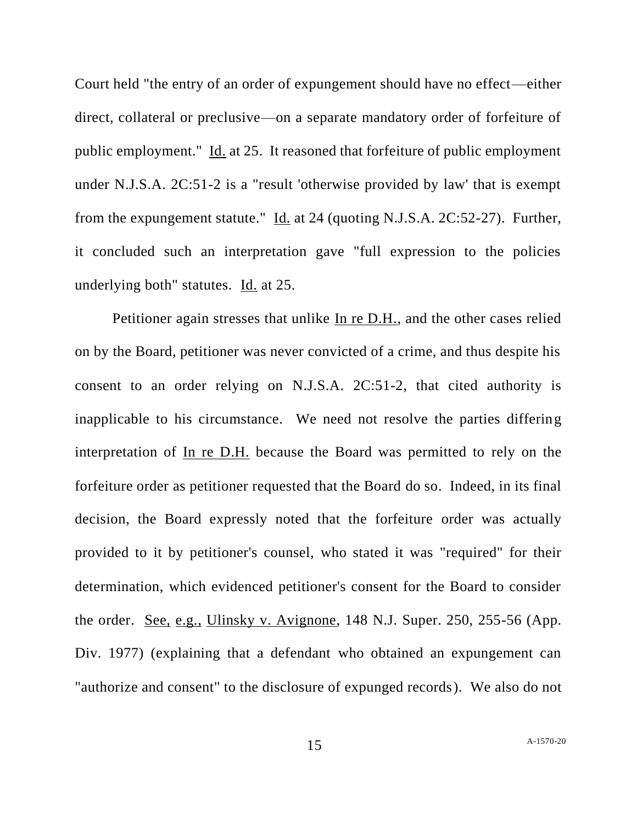Court held "the entry of an order of expungement should have no effect—either direct, collateral or preclusive—on a separate mandatory order of forfeiture of public employment." Id. at 25. It reasoned that forfeiture of public employment under N.J.S.A. 2C:51-2 is a "result 'otherwise provided by law' that is exempt from the expungement statute." Id. at 24 (quoting N.J.S.A. 2C:52-27). Further, it concluded such an interpretation gave "full expression to the policies underlying both" statutes. Id. at 25.

Petitioner again stresses that unlike In re D.H., and the other cases relied on by the Board, petitioner was never convicted of a crime, and thus despite his consent to an order relying on N.J.S.A. 2C:51-2, that cited authority is inapplicable to his circumstance. We need not resolve the parties differing interpretation of In re D.H. because the Board was permitted to rely on the forfeiture order as petitioner requested that the Board do so. Indeed, in its final decision, the Board expressly noted that the forfeiture order was actually provided to it by petitioner's counsel, who stated it was "required" for their determination, which evidenced petitioner's consent for the Board to consider the order. See, e.g., Ulinsky v. Avignone, 148 N.J. Super. 250, 255-56 (App. Div. 1977) (explaining that a defendant who obtained an expungement can "authorize and consent" to the disclosure of expunged records). We also do not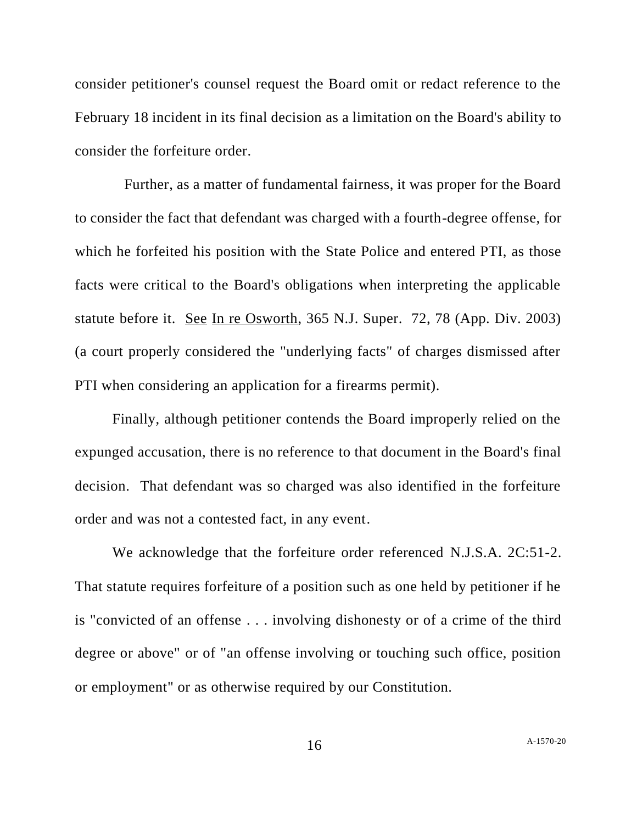consider petitioner's counsel request the Board omit or redact reference to the February 18 incident in its final decision as a limitation on the Board's ability to consider the forfeiture order.

 Further, as a matter of fundamental fairness, it was proper for the Board to consider the fact that defendant was charged with a fourth-degree offense, for which he forfeited his position with the State Police and entered PTI, as those facts were critical to the Board's obligations when interpreting the applicable statute before it. See In re Osworth, 365 N.J. Super. 72, 78 (App. Div. 2003) (a court properly considered the "underlying facts" of charges dismissed after PTI when considering an application for a firearms permit).

Finally, although petitioner contends the Board improperly relied on the expunged accusation, there is no reference to that document in the Board's final decision. That defendant was so charged was also identified in the forfeiture order and was not a contested fact, in any event.

We acknowledge that the forfeiture order referenced N.J.S.A. 2C:51-2. That statute requires forfeiture of a position such as one held by petitioner if he is "convicted of an offense . . . involving dishonesty or of a crime of the third degree or above" or of "an offense involving or touching such office, position or employment" or as otherwise required by our Constitution.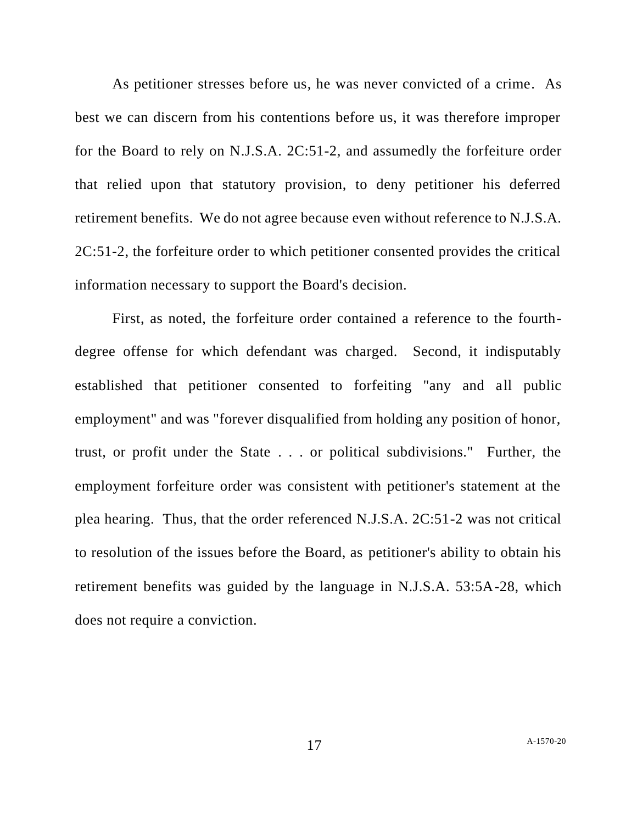As petitioner stresses before us, he was never convicted of a crime. As best we can discern from his contentions before us, it was therefore improper for the Board to rely on N.J.S.A. 2C:51-2, and assumedly the forfeiture order that relied upon that statutory provision, to deny petitioner his deferred retirement benefits. We do not agree because even without reference to N.J.S.A. 2C:51-2, the forfeiture order to which petitioner consented provides the critical information necessary to support the Board's decision.

First, as noted, the forfeiture order contained a reference to the fourthdegree offense for which defendant was charged. Second, it indisputably established that petitioner consented to forfeiting "any and all public employment" and was "forever disqualified from holding any position of honor, trust, or profit under the State . . . or political subdivisions." Further, the employment forfeiture order was consistent with petitioner's statement at the plea hearing. Thus, that the order referenced N.J.S.A. 2C:51-2 was not critical to resolution of the issues before the Board, as petitioner's ability to obtain his retirement benefits was guided by the language in N.J.S.A. 53:5A-28, which does not require a conviction.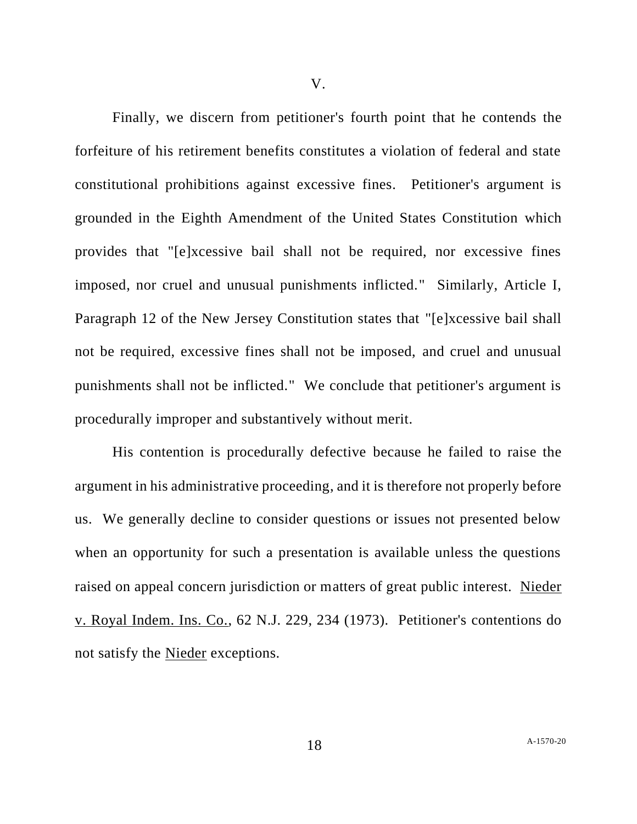Finally, we discern from petitioner's fourth point that he contends the forfeiture of his retirement benefits constitutes a violation of federal and state constitutional prohibitions against excessive fines. Petitioner's argument is grounded in the Eighth Amendment of the United States Constitution which provides that "[e]xcessive bail shall not be required, nor excessive fines imposed, nor cruel and unusual punishments inflicted." Similarly, Article I, Paragraph 12 of the New Jersey Constitution states that "[e]xcessive bail shall not be required, excessive fines shall not be imposed, and cruel and unusual punishments shall not be inflicted." We conclude that petitioner's argument is procedurally improper and substantively without merit.

His contention is procedurally defective because he failed to raise the argument in his administrative proceeding, and it is therefore not properly before us. We generally decline to consider questions or issues not presented below when an opportunity for such a presentation is available unless the questions raised on appeal concern jurisdiction or matters of great public interest. Nieder v. Royal Indem. Ins. Co., 62 N.J. 229, 234 (1973). Petitioner's contentions do not satisfy the Nieder exceptions.